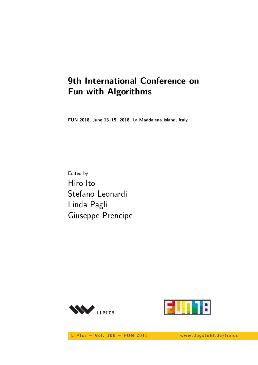# **9th International Conference on Fun with Algorithms**

**FUN 2018, June 13–15, 2018, La Maddalena Island, Italy**

Edited by Hiro Ito Stefano Leonardi Linda Pagli Giuseppe Prencipe





LIPIcs - Vol. 100 - FUN 2018 www.dagstuhl.de/lipics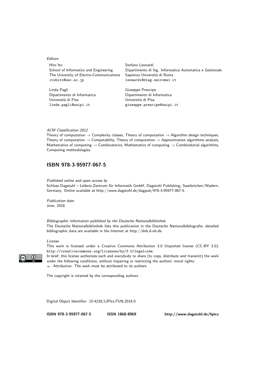#### Editors

Hiro Ito Stefano Leonardi The University of Electro-Communications Sapienza Università di Roma itohiro@uec.ac.jp leonardi@diag.uniroma1.it

Linda Pagli Giuseppe Prencipe Università di Pisa Università di Pisa

School of Informatics and Engineering Dipartimento di Ing. Informatica Automatica e Gestionale

Dipartimento di Informatica Dipartimento di Informatica linda.pagli@unipi.it giuseppe.prencipe@unipi.it

#### ACM Classification 2012

Theory of computation  $\rightarrow$  Complexity classes, Theory of computation  $\rightarrow$  Algorithm design techniques, Theory of computation  $\rightarrow$  Computability, Theory of computation  $\rightarrow$  Approximation algorithms analysis, Mathematics of computing  $\rightarrow$  Combinatorics, Mathematics of computing  $\rightarrow$  Combinatorial algorithms, Computing methodologies

### **[ISBN 978-3-95977-067-5](http://www.dagstuhl.de/dagpub/978-3-95977-067-5)**

Published online and open access by

Schloss Dagstuhl – Leibniz-Zentrum für Informatik GmbH, Dagstuhl Publishing, Saarbrücken/Wadern, Germany. Online available at [http://www.dagstuhl.de/dagpub/978-3-95977-067-5.](http://www.dagstuhl.de/dagpub/978-3-95977-067-5)

Publication date June, 2018

Bibliographic information published by the Deutsche Nationalbibliothek The Deutsche Nationalbibliothek lists this publication in the Deutsche Nationalbibliografie; detailed bibliographic data are available in the Internet at [http://dnb.d-nb.de.](http://dnb.d-nb.de)

#### License

This work is licensed under a Creative Commons Attribution 3.0 Unported license (CC-BY 3.0): http://creativecommons.org/licenses/by/3.0/legalcode.

In brief, this license authorizes each and everybody to share (to copy, distribute and transmit) the work under the following conditions, without impairing or restricting the authors' moral rights: Attribution: The work must be attributed to its authors.

The copyright is retained by the corresponding authors.

Digital Object Identifier: [10.4230/LIPIcs.FUN.2018.0](http://dx.doi.org/10.4230/LIPIcs.FUN.2018.0)

**[ISBN 978-3-95977-067-5](http://www.dagstuhl.de/dagpub/978-3-95977-067-5) [ISSN 1868-8969](http://drops.dagstuhl.de/lipics)<http://www.dagstuhl.de/lipics>**

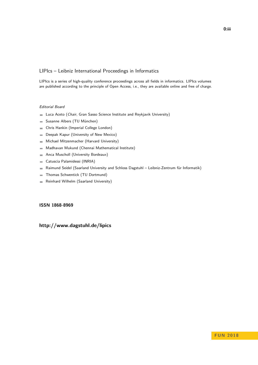#### LIPIcs – Leibniz International Proceedings in Informatics

LIPIcs is a series of high-quality conference proceedings across all fields in informatics. LIPIcs volumes are published according to the principle of Open Access, i.e., they are available online and free of charge.

#### Editorial Board

- **Luca Aceto** (*Chair*, Gran Sasso Science Institute and Reykjavik University)
- Susanne Albers (TU München)  $\equiv$
- Chris Hankin (Imperial College London)  $\equiv$
- Deepak Kapur (University of New Mexico)  $\equiv$
- Michael Mitzenmacher (Harvard University)  $\sim$
- Madhavan Mukund (Chennai Mathematical Institute)  $\overline{\phantom{a}}$
- Anca Muscholl (University Bordeaux)  $\blacksquare$
- Catuscia Palamidessi (INRIA)  $\overline{a}$
- Raimund Seidel (Saarland University and Schloss Dagstuhl Leibniz-Zentrum für Informatik)  $\blacksquare$
- Thomas Schwentick (TU Dortmund)  $\overline{a}$
- Reinhard Wilhelm (Saarland University)  $\bar{a}$

#### **[ISSN 1868-8969](http://www.dagstuhl.de/dagpub/1868-8969)**

### **<http://www.dagstuhl.de/lipics>**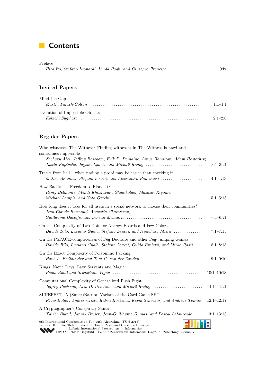## **Contents**

| Preface                                                        |         |
|----------------------------------------------------------------|---------|
| Hiro Ito, Stefano Leonardi, Linda Pagli, and Giuseppe Prencipe | $0:$ ix |

### **Invited Papers**

| Mind the Gap                    |           |
|---------------------------------|-----------|
|                                 | $1:1-1:1$ |
| Evolution of Impossible Objects |           |
|                                 | $2:1-2:8$ |

### **Regular Papers**

| Who witnesses The Witness? Finding witnesses in The Witness is hard and<br>sometimes impossible                                                                                                                                                                                          |                |
|------------------------------------------------------------------------------------------------------------------------------------------------------------------------------------------------------------------------------------------------------------------------------------------|----------------|
| Zachary Abel, Jeffrey Bosboom, Erik D. Demaine, Linus Hamilton, Adam Hesterberg,<br>Justin Kopinsky, Jayson Lynch, and Mikhail Rudoy                                                                                                                                                     | $3:1-3:21$     |
| Tracks from hell $-$ when finding a proof may be easier than checking it<br>Matteo Almanza, Stefano Leucci, and Alessandro Panconesi                                                                                                                                                     | $4:1-4:13$     |
| How Bad is the Freedom to Flood-It?<br>Rémy Belmonte, Mehdi Khosravian Ghadikolaei, Masashi Kiyomi,                                                                                                                                                                                      | $5:1 - 5:13$   |
| How long does it take for all users in a social network to choose their communities?<br>Jean-Claude Bermond, Augustin Chaintreau,                                                                                                                                                        | $6:1-6:21$     |
| On the Complexity of Two Dots for Narrow Boards and Few Colors<br>Davide Bilò, Luciano Gualà, Stefano Leucci, and Neeldhara Misra                                                                                                                                                        | $7:1 - 7:15$   |
| On the PSPACE-completeness of Peg Duotaire and other Peg-Jumping Games<br>Davide Bilò, Luciano Gualà, Stefano Leucci, Guido Proietti, and Mirko Rossi                                                                                                                                    | $8:1 - 8:15$   |
| On the Exact Complexity of Polyomino Packing                                                                                                                                                                                                                                             | $9:1 - 9:10$   |
| Kings, Name Days, Lazy Servants and Magic                                                                                                                                                                                                                                                | $10:1 - 10:13$ |
| Computational Complexity of Generalized Push Fight<br>Jeffrey Bosboom, Erik D. Demaine, and Mikhail Rudoy                                                                                                                                                                                | $11:1-11:21$   |
| SUPERSET: A (Super)Natural Variant of the Card Game SET<br>Fábio Botler, Andrés Cristi, Ruben Hoeksma, Kevin Schewior, and Andreas Tönnis                                                                                                                                                | $12:1 - 12:17$ |
| A Cryptographer's Conspiracy Santa<br>Xavier Bultel, Jannik Dreier, Jean-Guillaume Dumas, and Pascal Lafourcade                                                                                                                                                                          | $13:1-13:13$   |
| 9th International Conference on Fun with Algorithms (FUN 2018).<br>Editors: Hiro Ito, Stefano Leonardi, Linda Pagli, and Giuseppe Prencipe<br>Leibniz International Proceedings in Informatics<br>LIPICS Schloss Dagstuhl - Leibniz-Zentrum für Informatik, Dagstuhl Publishing, Germany |                |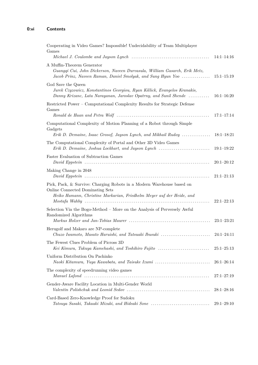| Cooperating in Video Games? Impossible! Undecidability of Team Multiplayer<br>Games                                                                                                     | $14:1-14:16$                   |
|-----------------------------------------------------------------------------------------------------------------------------------------------------------------------------------------|--------------------------------|
| A Muffin-Theorem Generator<br>Guangqi Cui, John Dickerson, Naveen Durvasula, William Gasarch, Erik Metz,<br>Jacob Prinz, Naveen Raman, Daniel Smolyak, and Sung Hyun Yoo                | $15:1 - 15:19$                 |
| God Save the Queen<br>Jurek Czyzowicz, Konstantinos Georgiou, Ryan Killick, Evangelos Kranakis,<br>Danny Krizanc, Lata Narayanan, Jaroslav Opatrny, and Sunil Shende                    | $16:1 - 16:20$                 |
| Restricted Power – Computational Complexity Results for Strategic Defense<br>Games                                                                                                      | $17:1 - 17:14$                 |
| Computational Complexity of Motion Planning of a Robot through Simple<br>Gadgets                                                                                                        |                                |
| Erik D. Demaine, Isaac Grosof, Jayson Lynch, and Mikhail Rudoy<br>The Computational Complexity of Portal and Other 3D Video Games<br>Erik D. Demaine, Joshua Lockhart, and Jayson Lynch | $18:1-18:21$<br>$19:1 - 19:22$ |
| Faster Evaluation of Subtraction Games                                                                                                                                                  | $20:1 - 20:12$                 |
| Making Change in 2048                                                                                                                                                                   | $21:1 - 21:13$                 |
| Pick, Pack, & Survive: Charging Robots in a Modern Warehouse based on<br>Online Connected Dominating Sets<br>Heiko Hamann, Christine Markarian, Friedhelm Meyer auf der Heide, and      | $22:1-22:13$                   |
| Selection Via the Bogo-Method - More on the Analysis of Perversely Awful<br>Randomized Algorithms                                                                                       | $23:1-23:21$                   |
| Herugolf and Makaro are NP-complete<br>Chuzo Iwamoto, Masato Haruishi, and Tatsuaki Ibusuki                                                                                             | $24:1 - 24:11$                 |
| The Fewest Clues Problem of Picross 3D<br>Kei Kimura, Takuya Kamehashi, and Toshihiro Fujito                                                                                            | $25:1-25:13$                   |
| Uniform Distribution On Pachinko<br>Naoki Kitamura, Yuya Kawabata, and Taisuke Izumi                                                                                                    | $26:1-26:14$                   |
| The complexity of speedrunning video games                                                                                                                                              | $27:1 - 27:19$                 |
| Gender-Aware Facility Location in Multi-Gender World                                                                                                                                    | $28:1 - 28:16$                 |
| Card-Based Zero-Knowledge Proof for Sudoku<br>Tatsuya Sasaki, Takaaki Mizuki, and Hideaki Sone                                                                                          | $29:1-29:10$                   |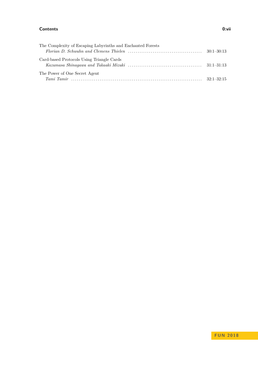#### **Contents 0:vii**

| The Complexity of Escaping Labyrinths and Enchanted Forests                                                                                                                                                                                                                                                                                                               |  |
|---------------------------------------------------------------------------------------------------------------------------------------------------------------------------------------------------------------------------------------------------------------------------------------------------------------------------------------------------------------------------|--|
| Florian D. Schwahn and Clemens Thielen $\ldots \ldots \ldots \ldots \ldots \ldots \ldots \ldots \ldots \ldots \ldots \ldots$ 30:1–30:13                                                                                                                                                                                                                                   |  |
| Card-based Protocols Using Triangle Cards                                                                                                                                                                                                                                                                                                                                 |  |
| The Power of One Secret Agent<br>$Tami$ $Tami$ $\ldots$ $\ldots$ $\ldots$ $\ldots$ $\ldots$ $\ldots$ $\ldots$ $\ldots$ $\ldots$ $\ldots$ $\ldots$ $\ldots$ $\ldots$ $\ldots$ $\ldots$ $\ldots$ $\ldots$ $\ldots$ $\ldots$ $\ldots$ $\ldots$ $\ldots$ $\ldots$ $\ldots$ $\ldots$ $\ldots$ $\ldots$ $\ldots$ $\ldots$ $\ldots$ $\ldots$ $\ldots$ $\ldots$ $\ldots$ $\ldots$ |  |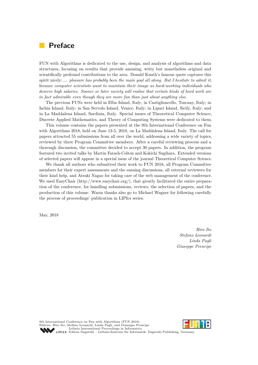### **Preface**

FUN with Algorithms is dedicated to the use, design, and analysis of algorithms and data structures, focusing on results that provide amusing, witty but nonetheless original and scientifically profound contributions to the area. Donald Knuth's famous quote captures this spirit nicely:*.... pleasure has probably been the main goal all along. But I hesitate to admit it, because computer scientists want to maintain their image as hard-working individuals who deserve high salaries. Sooner or later society will realise that certain kinds of hard work are in fact admirable even though they are more fun than just about anything else*.

The previous FUNs were held in Elba Island, Italy; in Castiglioncello, Tuscany, Italy; in Ischia Island, Italy; in San Servolo Island, Venice, Italy; in Lipari Island, Sicily, Italy; and in La Maddalena Island, Sardinia, Italy. Special issues of Theoretical Computer Science, Discrete Applied Mathematics, and Theory of Computing Systems were dedicated to them.

This volume contains the papers presented at the 9th International Conference on Fun with Algorithms 2018, held on June 13-5, 2018, on La Maddalena Island, Italy. The call for papers attracted 55 submissions from all over the world, addressing a wide variety of topics, reviewed by three Program Committee members. After a careful reviewing process and a thorough discussion, the committee decided to accept 30 papers. In addition, the program featured two invited talks by Martin Farach-Colton and Kokichi Sugihara. Extended versions of selected papers will appear in a special issue of the journal Theoretical Computer Science.

We thank all authors who submitted their work to FUN 2018, all Program Committee members for their expert assessments and the ensuing discussions, all external reviewers for their kind help, and Atsuki Nagao for taking care of the web management of the conference. We used EasyChair (http://www.easychair.org/), that greatly facilitated the entire preparation of the conference, for handling submissions, reviews, the selection of papers, and the production of this volume. Warm thanks also go to Michael Wagner for following carefully the process of proceedings' publication in LIPIcs series.

May, 2018

*Hiro Ito Stefano Leonardi Linda Pagli Giuseppe Prencipe*

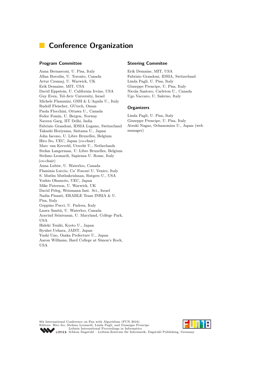### **Conference Organization**

#### **Program Committee**

Anna Bernasconi, U. Pisa, Italy Allan Borodin, U. Toronto, Canada Artur Czumaj, U. Warwick, UK Erik Demaine, MIT, USA David Eppstein, U. California Irvine, USA Guy Even, Tel-Aviv University, Israel Michele Flammini, GSSI & L'Aquila U., Italy Rudolf Fleischer, GUtech, Oman Paola Flocchini, Ottawa U., Canada Fedor Fomin, U. Bergen, Norway Naveen Garg, IIT Delhi, India Fabrizio Grandoni, IDSIA Lugano, Switzerland Takashi Horiyama, Saitama U., Japan John Iacono, U. Libre Bruxelles, Belgium Hiro Ito, UEC, Japan (co-chair) Marc van Kreveld, Utrecht U., Netherlands Stefan Langerman, U. Libre Bruxelles, Belgium Stefano Leonardi, Sapienza U. Rome, Italy (co-chair) Anna Lubiw, U. Waterloo, Canada Flaminia Luccio, Ca' Foscari U. Venice, Italy S. Muthu Muthukrishnan, Rutgers U., USA Yoshio Okamoto, UEC, Japan Mike Paterson, U. Warwick, UK David Peleg, Weizmann Inst. Sci., Israel Nadia Pisanti, ERABLE Team INRIA & U. Pisa, Italy Geppino Pucci, U. Padova, Italy Laura Sanità, U. Waterloo, Canada Aravind Srinivasan, U. Maryland, College Park, USA Hideki Tsuiki, Kyoto U., Japan Ryuhei Uehara, JAIST, Japan Yushi Uno, Osaka Prefecture U., Japan Aaron Williams, Bard College at Simon's Rock, USA

#### **Steering Commitee**

Erik Demaine, MIT, USA Fabrizio Grandoni, IDSIA, Switzerland Linda Pagli, U. Pisa, Italy Giuseppe Prencipe, U. Pisa, Italy Nicola Santoro, Carleton U., Canada Ugo Vaccaro, U. Salerno, Italy

#### **Organizers**

Linda Pagli, U. Pisa, Italy Giuseppe Prencipe, U. Pisa, Italy Atsuki Nagao, Ochanomizu U., Japan (web manager)

9th International Conference on Fun with Algorithms (FUN 2018). Editors: Hiro Ito, Stefano Leonardi, Linda Pagli, and Giuseppe Prencipe [Leibniz International Proceedings in Informatics](http://www.dagstuhl.de/lipics/) [Schloss Dagstuhl – Leibniz-Zentrum für Informatik, Dagstuhl Publishing, Germany](http://www.dagstuhl.de)

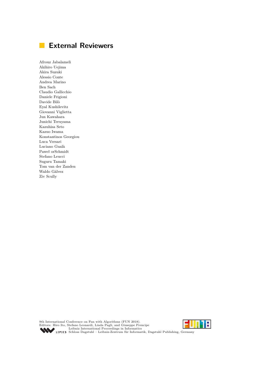## **External Reviewers**

Afrouz Jabalameli Akihiro Uejima Akira Suzuki Alessio Conte Andrea Marino Ben Sach Claudio Gallicchio Daniele Frigioni Davide Bilò Eyal Kushilevitz Giovanni Viglietta Jun Kawahara Junichi Teruyama Kazuhisa Seto Kazuo Iwama Konstantinos Georgiou Luca Versari Luciano Gualà Paweł orSchmidt Stefano Leucci Suguru Tamaki Tom van der Zanden Waldo Gálvez Ziv Scully

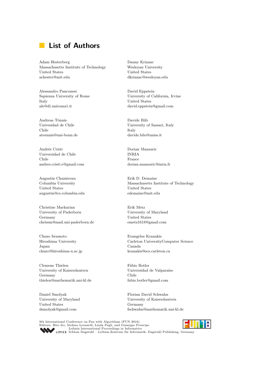### **List of Authors**

Adam Hesterberg Massachusetts Institute of Technology United States achester@mit.edu

Alessandro Panconesi Sapienza University of Rome Italy ale@di.uniroma1.it

Andreas Tönnis Univesidad de Chile Chile atoennis@uni-bonn.de

Andrés Cristi Universidad de Chile Chile andres.cristi.e@gmail.com

Augustin Chaintreau Columbia University United States augustin@cs.columbia.edu

Christine Markarian University of Paderborn Germany chrissm@mail.uni-paderborn.de

Chuzo Iwamoto Hiroshima University Japan chuzo@hiroshima-u.ac.jp

Clemens Thielen University of Kaiserslautern Germany thielen@mathematik.uni-kl.de

Daniel Smolyak University of Maryland United States dsmolyak@gmail.com

Danny Krizanc Wesleyan University United States dkrizanc@wesleyan.edu

David Eppstein University of California, Irvine United States david.eppstein@gmail.com

Davide Bilò University of Sassari, Italy Italy davide.bilo@uniss.it

Dorian Mazauric INRIA France dorian.mazauric@inria.fr

Erik D. Demaine Massachusetts Institute of Technology United States edemaine@mit.edu

Erik Metz University of Maryland United States emetz1618@gmail.com

Evangelos Kranakis Carleton UniversityComputer Science Canada kranakis@scs.carleton.ca

Fábio Botler Universidad de Valparaíso Chile fabio.botler@gmail.com

Florian David Schwahn University of Kaiserslautern Germany fschwahn@mathematik.uni-kl.de

9th International Conference on Fun with Algorithms (FUN 2018). Editors: Hiro Ito, Stefano Leonardi, Linda Pagli, and Giuseppe Prencipe [Leibniz International Proceedings in Informatics](http://www.dagstuhl.de/lipics/) [Schloss Dagstuhl – Leibniz-Zentrum für Informatik, Dagstuhl Publishing, Germany](http://www.dagstuhl.de)

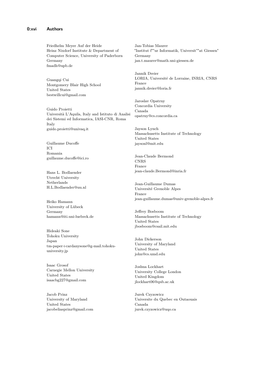Friedhelm Meyer Auf der Heide Heinz Nixdorf Institute & Department of Computer Science, University of Paderborn Germany fmadh@upb.de

Guangqi Cui Montgomery Blair High School United States bestwillcui@gmail.com

Guido Proietti Università L'Aquila, Italy and Istituto di Analisi dei Sistemi ed Informatica, IASI-CNR, Roma Italy guido.proietti@univaq.it

Guillaume Ducoffe ICI Romania guillaume.ducoffe@ici.ro

Hans L. Bodlaender Utrecht University Netherlands H.L.Bodlaender@uu.nl

Heiko Hamann University of Lübeck Germany hamann@iti.uni-luebeck.de

Hideaki Sone Tohoku University Japan tm-paper+cardanysone@g-mail.tohokuuniversity.jp

Isaac Grosof Carnegie Mellon University United States isaacbg227@gmail.com

Jacob Prinz University of Maryland United States jacobeliasprinz@gmail.com

Jan-Tobias Maurer "Institut f""ur Informatik, Universit""at Giessen" Germany jan.t.maurer@math.uni-giessen.de

Jannik Dreier LORIA, Université de Lorraine, INRIA, CNRS France jannik.dreier@loria.fr

Jaroslav Opatrny Concordia University Canada opatrny@cs.concordia.ca

Jayson Lynch Massachusetts Institute of Technology United States jaysonl@mit.edu

Jean-Claude Bermond CNRS France jean-claude.Bermond@inria.fr

Jean-Guillaume Dumas Université Grenoble Alpes France jean-guillaume.dumas@univ-grenoble-alpes.fr

Jeffrey Bosboom Massachusetts Institute of Technology United States jbosboom@csail.mit.edu

John Dickerson University of Maryland United States john@cs.umd.edu

Joshua Lockhart University College London United Kingdom jlockhart06@qub.ac.uk

Jurek Czyzowicz Universite du Quebec en Outaouais Canada jurek.czyzowicz@uqo.ca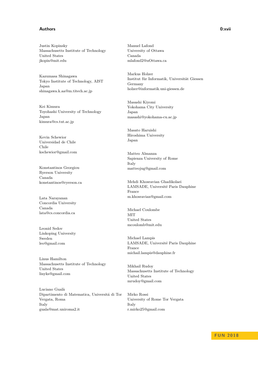#### **Authors 0:xvii**

Justin Kopinsky Massachusetts Institute of Technology United States jkopin@mit.edu

Kazumasa Shinagawa Tokyo Institute of Technology, AIST Japan shinagawa.k.aa@m.titech.ac.jp

Kei Kimura Toyohashi University of Technology Japan kimura@cs.tut.ac.jp

Kevin Schewior Universidad de Chile Chile kschewior@gmail.com

Konstantinos Georgiou Ryerson University Canada konstantinos@ryerson.ca

Lata Narayanan Concordia University Canada lata@cs.concordia.ca

Leonid Sedov Linkoping University Sweden leo@gmail.com

Linus Hamilton Massachusetts Institute of Technology United States linyks@gmail.com

Luciano Gualà Dipartimento di Matematica, Universitá di Tor Vergata, Roma Italy guala@mat.uniroma2.it

Manuel Lafond University of Ottawa Canada mlafond2@uOttawa.ca

Markus Holzer Institut für Informatik, Universität Giessen Germany holzer@informatik.uni-giessen.de

Masashi Kiyomi Yokohama City University Japan masashi@yokohama-cu.ac.jp

Masato Haruishi Hiroshima University Japan

Matteo Almanza Sapienza University of Rome Italy matteojug@gmail.com

Mehdi Khosravian Ghadikolaei LAMSADE, Université Paris Dauphine France m.khosravian@gmail.com

Michael Coulombe **MIT** United States mcoulomb@mit.edu

Michael Lampis LAMSADE, Université Paris Dauphine France michail.lampis@dauphine.fr

Mikhail Rudoy Massachusetts Institute of Technology United States mrudoy@gmail.com

Mirko Rossi University of Rome Tor Vergata Italy r.mirko25@gmail.com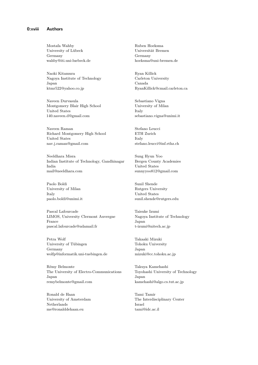Mostafa Wahby University of Lübeck Germany wahby@iti.uni-luebeck.de

Naoki Kitamura Nagoya Institute of Technology Japan ktmr522@yahoo.co.jp

Naveen Durvasula Montgomery Blair High School United States 140.naveen.d@gmail.com

Naveen Raman Richard Montgomery High School United States nav.j.raman@gmail.com

Neeldhara Misra Indian Institute of Technology, Gandhinagar India mail@neeldhara.com

Paolo Boldi University of Milan Italy paolo.boldi@unimi.it

Pascal Lafourcade LIMOS, University Clermont Auvergne France pascal.lafourcade@udamail.fr

Petra Wolf University of Tübingen Germany wolfp@informatik.uni-tuebingen.de

Rémy Belmonte The University of Electro-Communications Japan remybelmonte@gmail.com

Ronald de Haan University of Amsterdam Netherlands me@ronalddehaan.eu

Ruben Hoeksma Universität Bremen Germany hoeksma@uni-bremen.de

Ryan Killick Carleton University Canada RyanKillick@cmail.carleton.ca

Sebastiano Vigna University of Milan Italy sebastiano.vigna@unimi.it

Stefano Leucci ETH Zurich Italy stefano.leucci@inf.ethz.ch

Sung Hyun Yoo Bergen County Academies United States sunnyyoo812@gmail.com

Sunil Shende Rutgers University United States sunil.shende@rutgers.edu

Taisuke Izumi Nagoya Institute of Technology Japan t-izumi@nitech.ac.jp

Takaaki Mizuki Tohoku University Japan mizuki@cc.tohoku.ac.jp

Takuya Kamehashi Toyohashi University of Technology Japan kamehashi@algo.cs.tut.ac.jp

Tami Tamir The Interdisciplinary Center Israel tami@idc.ac.il